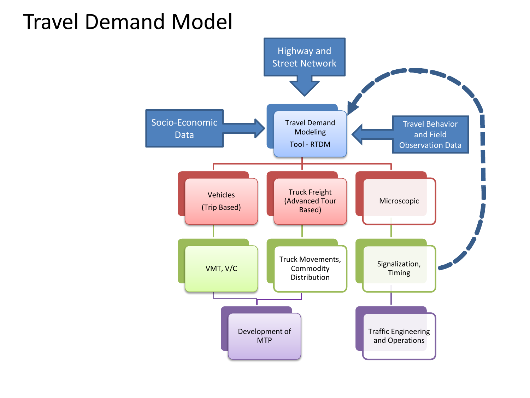## Travel Demand Model

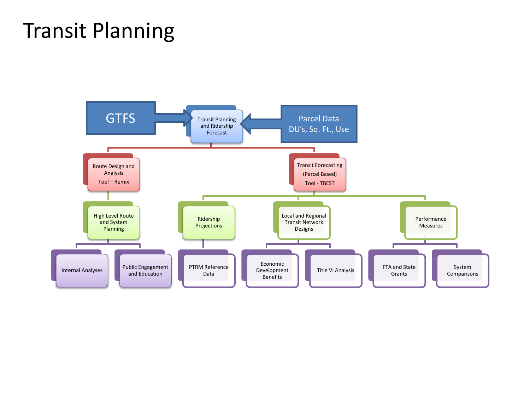# Transit Planning

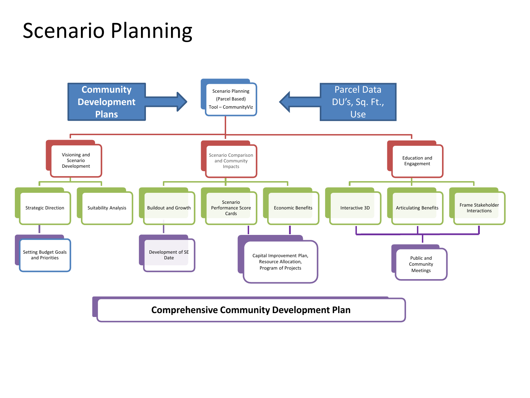# Scenario Planning